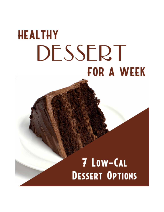# **HEALTHY** DESSERT **FOR A WEEK**

## 7 Low-CAL **DESSERT OPTIONS**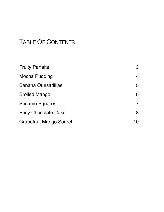## TABLE OF CONTENTS

| <b>Fruity Parfaits</b>         | 3  |
|--------------------------------|----|
| Mocha Pudding                  | 4  |
| <b>Banana Quesadillas</b>      | 5  |
| <b>Broiled Mango</b>           | 6  |
| <b>Sesame Squares</b>          |    |
| <b>Easy Chocolate Cake</b>     | 8  |
| <b>Grapefruit Mango Sorbet</b> | 10 |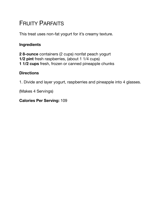## <span id="page-2-0"></span>FRUITY PARFAITS

This treat uses non-fat yogurt for it's creamy texture.

#### **Ingredients**

**2 8-ounce** containers (2 cups) nonfat peach yogurt **1/2 pint** fresh raspberries, (about 1 1/4 cups) **1 1/2 cups** fresh, frozen or canned pineapple chunks

#### **Directions**

1. Divide and layer yogurt, raspberries and pineapple into 4 glasses.

(Makes 4 Servings)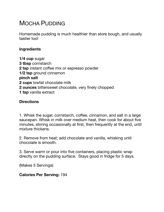## <span id="page-3-0"></span>MOCHA PUDDING

Homemade pudding is much healthier than store bough, and usually tastier too!

#### **Ingredients**

**1/4 cup** sugar **3 tbsp** cornstarch **2 tsp** instant coffee mix or espresso powder **1/2 tsp** ground cinnamon **pinch salt 2 cups** lowfat chocolate milk **2 ounces** bittersweet chocolate, very finely chopped **1 tsp** vanilla extract

#### **Directions**

1. Whisk the sugar, cornstarch, coffee, cinnamon, and salt in a large saucepan. Whisk in milk over medium heat, then cook for about five minutes, stirring occasionally at first, then frequently at the end, until mixture thickens.

2. Remove from heat; add chocolate and vanilla, whisking until chocolate is smooth.

3. Serve warm or pour into five containers, placing plastic wrap directly on the pudding surface. Stays good in fridge for 5 days.

(Makes 5 Servings)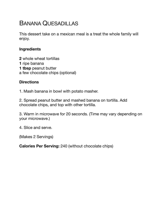## <span id="page-4-0"></span>BANANA QUESADILLAS

This dessert take on a mexican meal is a treat the whole family will enjoy.

#### **Ingredients**

**2** whole wheat tortillas

- **1** ripe banana
- **1 tbsp** peanut butter
- a few chocolate chips (optional)

#### **Directions**

1. Mash banana in bowl with potato masher.

2. Spread peanut butter and mashed banana on tortilla. Add chocolate chips, and top with other tortilla.

3. Warm in microwave for 20 seconds. (Time may vary depending on your microwave.)

4. Slice and serve.

(Makes 2 Servings)

**Calories Per Serving:** 240 (without chocolate chips)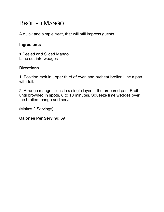## <span id="page-5-0"></span>BROILED MANGO

A quick and simple treat, that will still impress guests.

#### **Ingredients**

**1** Peeled and Sliced Mango Lime cut into wedges

#### **Directions**

1. Position rack in upper third of oven and preheat broiler. Line a pan with foil.

2. Arrange mango slices in a single layer in the prepared pan. Broil until browned in spots, 8 to 10 minutes. Squeeze lime wedges over the broiled mango and serve.

(Makes 2 Servings)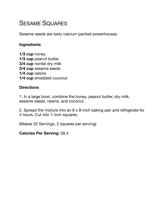### <span id="page-6-0"></span>SESAME SQUARES

Sesame seeds are tasty calcium packed powerhouses.

#### **Ingredients**

**1/3 cup** honey **1/3 cup peanut butter 3/4 cup** nonfat dry milk **3/4 cup** sesame seeds **1/4 cup** raisins **1/4 cup** shredded coconut

#### **Directions**

1. In a large bowl, combine the honey, peanut butter, dry milk, sesame seeds, raisins, and coconut.

2. Spread the mixture into an 8 x 8-inch baking pan and refrigerate for 4 hours. Cut into 1-inch squares.

(Makes 32 Servings, 2 squares per serving)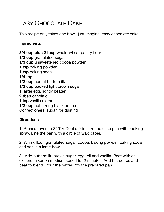## <span id="page-7-0"></span>EASY CHOCOLATE CAKE

This recipe only takes one bowl, just imagine, easy chocolate cake!

#### **Ingredients**

**3/4 cup plus 2 tbsp** whole-wheat pastry flour **1/2 cup** granulated sugar **1/3 cup** unsweetened cocoa powder **1 tsp** baking powder **1 tsp** baking soda **1/4 tsp** salt **1/2 cup** nonfat buttermilk **1/2 cup** packed light brown sugar **1 large** egg, lightly beaten **2 tbsp** canola oil **1 tsp** vanilla extract **1/2 cup** hot strong black coffee Confectioners' sugar, for dusting

#### **Directions**

1. Preheat oven to 350°F. Coat a 9-inch round cake pan with cooking spray. Line the pan with a circle of wax paper.

2. Whisk flour, granulated sugar, cocoa, baking powder, baking soda and salt in a large bowl.

3. Add buttermilk, brown sugar, egg, oil and vanilla. Beat with an electric mixer on medium speed for 2 minutes. Add hot coffee and beat to blend. Pour the batter into the prepared pan.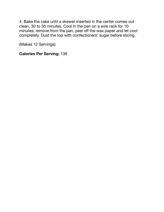4. Bake the cake until a skewer inserted in the center comes out clean, 30 to 35 minutes. Cool in the pan on a wire rack for 10 minutes; remove from the pan, peel off the wax paper and let cool completely. Dust the top with confectioners' sugar before slicing.

(Makes 12 Servings)